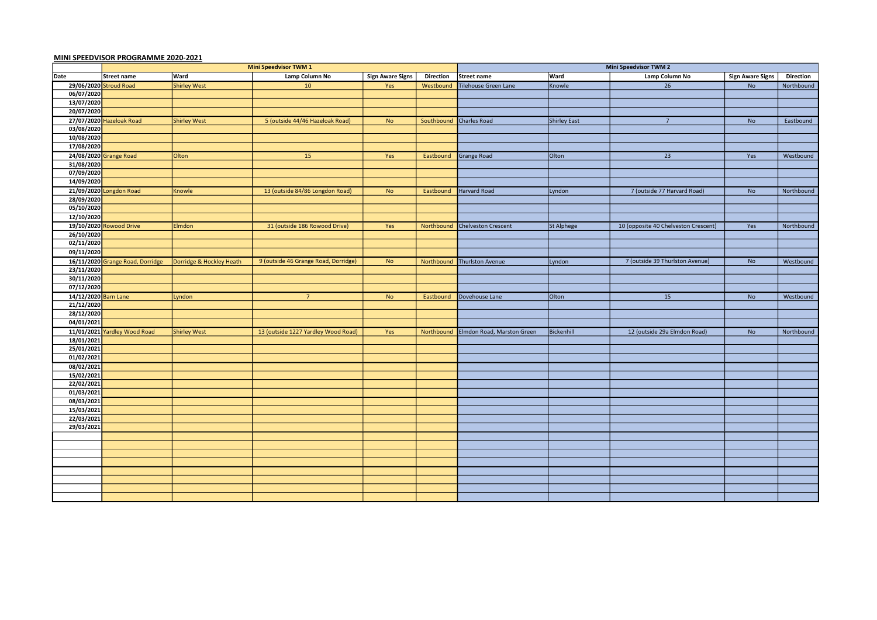## MINI SPEEDVISOR PROGRAMME 2020-2021

|                      | <b>Mini Speedvisor TWM 1</b>     |                          |                                      |                         |                  | <b>Mini Speedvisor TWM 2</b> |              |                                      |                         |                  |  |
|----------------------|----------------------------------|--------------------------|--------------------------------------|-------------------------|------------------|------------------------------|--------------|--------------------------------------|-------------------------|------------------|--|
| Date                 | Street name                      | Ward                     | Lamp Column No                       | <b>Sign Aware Signs</b> | <b>Direction</b> | Street name                  | <b>Ward</b>  | Lamp Column No                       | <b>Sign Aware Signs</b> | <b>Direction</b> |  |
|                      | 29/06/2020 Stroud Road           | <b>Shirley West</b>      | 10 <sup>°</sup>                      | Yes                     | Westbound        | Tilehouse Green Lane         | Knowle       | 26                                   | <b>No</b>               | Northbound       |  |
| 06/07/2020           |                                  |                          |                                      |                         |                  |                              |              |                                      |                         |                  |  |
| 13/07/2020           |                                  |                          |                                      |                         |                  |                              |              |                                      |                         |                  |  |
| 20/07/2020           |                                  |                          |                                      |                         |                  |                              |              |                                      |                         |                  |  |
|                      | 27/07/2020 Hazeloak Road         | <b>Shirley West</b>      | 5 (outside 44/46 Hazeloak Road)      | <b>No</b>               | Southbound       | <b>Charles Road</b>          | Shirley East | $\overline{7}$                       | <b>No</b>               | Eastbound        |  |
| 03/08/2020           |                                  |                          |                                      |                         |                  |                              |              |                                      |                         |                  |  |
| 10/08/2020           |                                  |                          |                                      |                         |                  |                              |              |                                      |                         |                  |  |
| 17/08/2020           |                                  |                          |                                      |                         |                  |                              |              |                                      |                         |                  |  |
|                      | 24/08/2020 Grange Road           | Olton                    | 15                                   | Yes                     | Eastbound        | <b>Grange Road</b>           | Olton        | 23                                   | Yes                     | Westbound        |  |
| 31/08/2020           |                                  |                          |                                      |                         |                  |                              |              |                                      |                         |                  |  |
| 07/09/2020           |                                  |                          |                                      |                         |                  |                              |              |                                      |                         |                  |  |
| 14/09/2020           |                                  |                          |                                      |                         |                  |                              |              |                                      |                         |                  |  |
|                      | 21/09/2020 Longdon Road          | Knowle                   | 13 (outside 84/86 Longdon Road)      | <b>No</b>               | Eastbound        | <b>Harvard Road</b>          | Lyndon       | 7 (outside 77 Harvard Road)          | No                      | Northbound       |  |
| 28/09/2020           |                                  |                          |                                      |                         |                  |                              |              |                                      |                         |                  |  |
| 05/10/2020           |                                  |                          |                                      |                         |                  |                              |              |                                      |                         |                  |  |
| 12/10/2020           |                                  |                          |                                      |                         |                  |                              |              |                                      |                         |                  |  |
|                      | 19/10/2020 Rowood Drive          | Elmdon                   | 31 (outside 186 Rowood Drive)        | Yes                     | Northbound       | <b>Chelveston Crescent</b>   | St Alphege   | 10 (opposite 40 Chelveston Crescent) | Yes                     | Northbound       |  |
| 26/10/2020           |                                  |                          |                                      |                         |                  |                              |              |                                      |                         |                  |  |
| 02/11/2020           |                                  |                          |                                      |                         |                  |                              |              |                                      |                         |                  |  |
| 09/11/2020           |                                  |                          |                                      |                         |                  |                              |              |                                      |                         |                  |  |
|                      | 16/11/2020 Grange Road, Dorridge | Dorridge & Hockley Heath | 9 (outside 46 Grange Road, Dorridge) | <b>No</b>               | Northbound       | Thurlston Avenue             | Lyndon       | 7 (outside 39 Thurlston Avenue)      | No                      | Westbound        |  |
| 23/11/2020           |                                  |                          |                                      |                         |                  |                              |              |                                      |                         |                  |  |
| 30/11/2020           |                                  |                          |                                      |                         |                  |                              |              |                                      |                         |                  |  |
| 07/12/2020           |                                  |                          |                                      |                         |                  |                              |              |                                      |                         |                  |  |
| 14/12/2020 Barn Lane |                                  | Lyndon                   | $7^{\circ}$                          | <b>No</b>               | Eastbound        | Dovehouse Lane               | Olton        | 15                                   | <b>No</b>               | Westbound        |  |
| 21/12/2020           |                                  |                          |                                      |                         |                  |                              |              |                                      |                         |                  |  |
| 28/12/2020           |                                  |                          |                                      |                         |                  |                              |              |                                      |                         |                  |  |
| 04/01/2021           |                                  |                          |                                      |                         |                  |                              |              |                                      |                         |                  |  |
|                      | 11/01/2021 Yardley Wood Road     | <b>Shirley West</b>      | 13 (outside 1227 Yardley Wood Road)  | Yes                     | Northbound       | Elmdon Road, Marston Green   | Bickenhill   | 12 (outside 29a Elmdon Road)         | No                      | Northbound       |  |
| 18/01/2021           |                                  |                          |                                      |                         |                  |                              |              |                                      |                         |                  |  |
| 25/01/2021           |                                  |                          |                                      |                         |                  |                              |              |                                      |                         |                  |  |
| 01/02/2021           |                                  |                          |                                      |                         |                  |                              |              |                                      |                         |                  |  |
| 08/02/2021           |                                  |                          |                                      |                         |                  |                              |              |                                      |                         |                  |  |
| 15/02/2021           |                                  |                          |                                      |                         |                  |                              |              |                                      |                         |                  |  |
| 22/02/2021           |                                  |                          |                                      |                         |                  |                              |              |                                      |                         |                  |  |
| 01/03/2021           |                                  |                          |                                      |                         |                  |                              |              |                                      |                         |                  |  |
| 08/03/2021           |                                  |                          |                                      |                         |                  |                              |              |                                      |                         |                  |  |
| 15/03/2021           |                                  |                          |                                      |                         |                  |                              |              |                                      |                         |                  |  |
| 22/03/2021           |                                  |                          |                                      |                         |                  |                              |              |                                      |                         |                  |  |
| 29/03/2021           |                                  |                          |                                      |                         |                  |                              |              |                                      |                         |                  |  |
|                      |                                  |                          |                                      |                         |                  |                              |              |                                      |                         |                  |  |
|                      |                                  |                          |                                      |                         |                  |                              |              |                                      |                         |                  |  |
|                      |                                  |                          |                                      |                         |                  |                              |              |                                      |                         |                  |  |
|                      |                                  |                          |                                      |                         |                  |                              |              |                                      |                         |                  |  |
|                      |                                  |                          |                                      |                         |                  |                              |              |                                      |                         |                  |  |
|                      |                                  |                          |                                      |                         |                  |                              |              |                                      |                         |                  |  |
|                      |                                  |                          |                                      |                         |                  |                              |              |                                      |                         |                  |  |
|                      |                                  |                          |                                      |                         |                  |                              |              |                                      |                         |                  |  |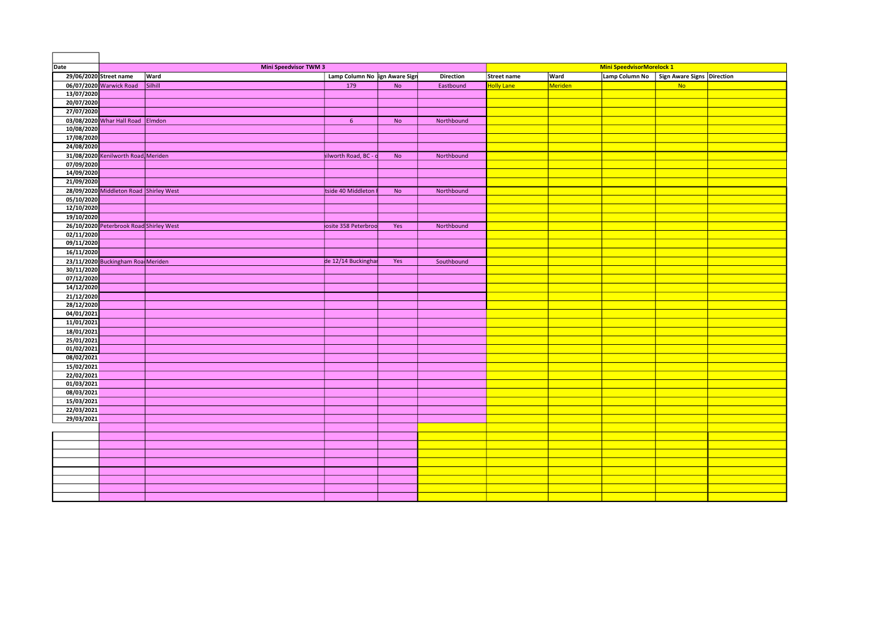| Date                     | <b>Mini Speedvisor TWM 3</b>            |         |                               |           | <b>Mini SpeedvisorMorelock 1</b> |                   |             |                |                                   |  |
|--------------------------|-----------------------------------------|---------|-------------------------------|-----------|----------------------------------|-------------------|-------------|----------------|-----------------------------------|--|
|                          | 29/06/2020 Street name                  | Ward    | Lamp Column No ign Aware Sign |           | <b>Direction</b>                 | Street name       | <b>Ward</b> | Lamp Column No | <b>Sign Aware Signs Direction</b> |  |
|                          | 06/07/2020 Warwick Road                 | Silhill | 179                           | <b>No</b> | Eastbound                        | <b>Holly Lane</b> | Meriden     |                | No                                |  |
| 13/07/2020               |                                         |         |                               |           |                                  |                   |             |                |                                   |  |
| 20/07/2020               |                                         |         |                               |           |                                  |                   |             |                |                                   |  |
| 27/07/2020               |                                         |         |                               |           |                                  |                   |             |                |                                   |  |
|                          | 03/08/2020 Whar Hall Road Elmdon        |         | $6^{\circ}$                   | <b>No</b> | Northbound                       |                   |             |                |                                   |  |
| 10/08/2020               |                                         |         |                               |           |                                  |                   |             |                |                                   |  |
| 17/08/2020               |                                         |         |                               |           |                                  |                   |             |                |                                   |  |
| 24/08/2020               |                                         |         |                               |           |                                  |                   |             |                |                                   |  |
|                          | 31/08/2020 Kenilworth Road Meriden      |         | hilworth Road, BC - c         | No        | Northbound                       |                   |             |                |                                   |  |
| 07/09/2020               |                                         |         |                               |           |                                  |                   |             |                |                                   |  |
| 14/09/2020               |                                         |         |                               |           |                                  |                   |             |                |                                   |  |
| 21/09/2020               |                                         |         |                               |           |                                  |                   |             |                |                                   |  |
|                          | 28/09/2020 Middleton Road Shirley West  |         | tside 40 Middleton            | <b>No</b> | Northbound                       |                   |             |                |                                   |  |
| 05/10/2020<br>12/10/2020 |                                         |         |                               |           |                                  |                   |             |                |                                   |  |
| 19/10/2020               |                                         |         |                               |           |                                  |                   |             |                |                                   |  |
|                          |                                         |         |                               |           |                                  |                   |             |                |                                   |  |
| 02/11/2020               | 26/10/2020 Peterbrook Road Shirley West |         | osite 358 Peterbroo           | Yes       | Northbound                       |                   |             |                |                                   |  |
| 09/11/2020               |                                         |         |                               |           |                                  |                   |             |                |                                   |  |
| 16/11/2020               |                                         |         |                               |           |                                  |                   |             |                |                                   |  |
|                          | 23/11/2020 Buckingham Roa Meriden       |         | de 12/14 Buckinghar           |           | Southbound                       |                   |             |                |                                   |  |
| 30/11/2020               |                                         |         |                               | Yes       |                                  |                   |             |                |                                   |  |
| 07/12/2020               |                                         |         |                               |           |                                  |                   |             |                |                                   |  |
| 14/12/2020               |                                         |         |                               |           |                                  |                   |             |                |                                   |  |
| 21/12/2020               |                                         |         |                               |           |                                  |                   |             |                |                                   |  |
| 28/12/2020               |                                         |         |                               |           |                                  |                   |             |                |                                   |  |
| 04/01/2021               |                                         |         |                               |           |                                  |                   |             |                |                                   |  |
| 11/01/2021               |                                         |         |                               |           |                                  |                   |             |                |                                   |  |
| 18/01/2021               |                                         |         |                               |           |                                  |                   |             |                |                                   |  |
| 25/01/2021               |                                         |         |                               |           |                                  |                   |             |                |                                   |  |
| 01/02/2021               |                                         |         |                               |           |                                  |                   |             |                |                                   |  |
| 08/02/2021               |                                         |         |                               |           |                                  |                   |             |                |                                   |  |
| 15/02/2021               |                                         |         |                               |           |                                  |                   |             |                |                                   |  |
| 22/02/2021               |                                         |         |                               |           |                                  |                   |             |                |                                   |  |
| 01/03/2021               |                                         |         |                               |           |                                  |                   |             |                |                                   |  |
| 08/03/2021               |                                         |         |                               |           |                                  |                   |             |                |                                   |  |
| 15/03/2021               |                                         |         |                               |           |                                  |                   |             |                |                                   |  |
| 22/03/2021               |                                         |         |                               |           |                                  |                   |             |                |                                   |  |
| 29/03/2021               |                                         |         |                               |           |                                  |                   |             |                |                                   |  |
|                          |                                         |         |                               |           |                                  |                   |             |                |                                   |  |
|                          |                                         |         |                               |           |                                  |                   |             |                |                                   |  |
|                          |                                         |         |                               |           |                                  |                   |             |                |                                   |  |
|                          |                                         |         |                               |           |                                  |                   |             |                |                                   |  |
|                          |                                         |         |                               |           |                                  |                   |             |                |                                   |  |
|                          |                                         |         |                               |           |                                  |                   |             |                |                                   |  |
|                          |                                         |         |                               |           |                                  |                   |             |                |                                   |  |
|                          |                                         |         |                               |           |                                  |                   |             |                |                                   |  |
|                          |                                         |         |                               |           |                                  |                   |             |                |                                   |  |